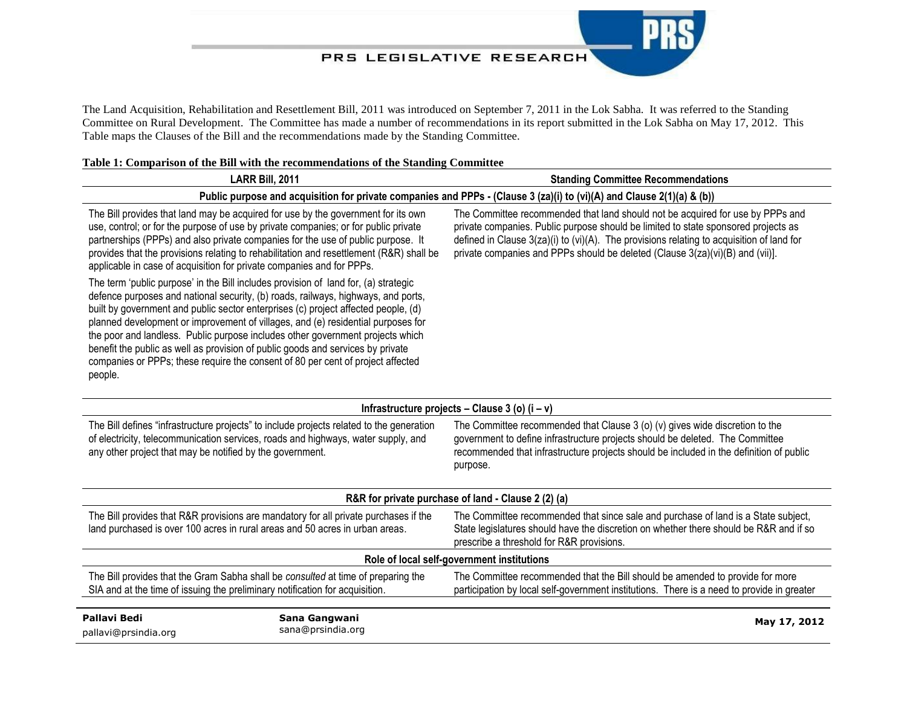## PRS LEGISLATIVE RESEARCH

The Land Acquisition, Rehabilitation and Resettlement Bill, 2011 was introduced on September 7, 2011 in the Lok Sabha. It was referred to the Standing Committee on Rural Development. The Committee has made a number of recommendations in its report submitted in the Lok Sabha on May 17, 2012. This Table maps the Clauses of the Bill and the recommendations made by the Standing Committee.

## **Table 1: Comparison of the Bill with the recommendations of the Standing Committee**

| LARR Bill, 2011                                                                                                                                                                                                                                                                                                                                                                                                                                                                                                                                                                                                       | <b>Standing Committee Recommendations</b>                                                                                                                                                                                                                                                                                                            |  |
|-----------------------------------------------------------------------------------------------------------------------------------------------------------------------------------------------------------------------------------------------------------------------------------------------------------------------------------------------------------------------------------------------------------------------------------------------------------------------------------------------------------------------------------------------------------------------------------------------------------------------|------------------------------------------------------------------------------------------------------------------------------------------------------------------------------------------------------------------------------------------------------------------------------------------------------------------------------------------------------|--|
| Public purpose and acquisition for private companies and PPPs - (Clause 3 (za)(i) to (vi)(A) and Clause 2(1)(a) & (b))                                                                                                                                                                                                                                                                                                                                                                                                                                                                                                |                                                                                                                                                                                                                                                                                                                                                      |  |
| The Bill provides that land may be acquired for use by the government for its own<br>use, control; or for the purpose of use by private companies; or for public private<br>partnerships (PPPs) and also private companies for the use of public purpose. It<br>provides that the provisions relating to rehabilitation and resettlement (R&R) shall be<br>applicable in case of acquisition for private companies and for PPPs.                                                                                                                                                                                      | The Committee recommended that land should not be acquired for use by PPPs and<br>private companies. Public purpose should be limited to state sponsored projects as<br>defined in Clause $3(za)(i)$ to (vi)(A). The provisions relating to acquisition of land for<br>private companies and PPPs should be deleted (Clause 3(za)(vi)(B) and (vii)]. |  |
| The term 'public purpose' in the Bill includes provision of land for, (a) strategic<br>defence purposes and national security, (b) roads, railways, highways, and ports,<br>built by government and public sector enterprises (c) project affected people, (d)<br>planned development or improvement of villages, and (e) residential purposes for<br>the poor and landless. Public purpose includes other government projects which<br>benefit the public as well as provision of public goods and services by private<br>companies or PPPs; these require the consent of 80 per cent of project affected<br>people. |                                                                                                                                                                                                                                                                                                                                                      |  |
| Infrastructure projects - Clause 3 (o) $(i - v)$                                                                                                                                                                                                                                                                                                                                                                                                                                                                                                                                                                      |                                                                                                                                                                                                                                                                                                                                                      |  |
| The Bill defines "infrastructure projects" to include projects related to the generation<br>of electricity, telecommunication services, roads and highways, water supply, and<br>any other project that may be notified by the government.                                                                                                                                                                                                                                                                                                                                                                            | The Committee recommended that Clause 3 (o) (v) gives wide discretion to the<br>government to define infrastructure projects should be deleted. The Committee<br>recommended that infrastructure projects should be included in the definition of public<br>purpose.                                                                                 |  |
| R&R for private purchase of land - Clause 2 (2) (a)                                                                                                                                                                                                                                                                                                                                                                                                                                                                                                                                                                   |                                                                                                                                                                                                                                                                                                                                                      |  |
| The Bill provides that R&R provisions are mandatory for all private purchases if the<br>land purchased is over 100 acres in rural areas and 50 acres in urban areas.                                                                                                                                                                                                                                                                                                                                                                                                                                                  | The Committee recommended that since sale and purchase of land is a State subject,<br>State legislatures should have the discretion on whether there should be R&R and if so<br>prescribe a threshold for R&R provisions.                                                                                                                            |  |
| Role of local self-government institutions                                                                                                                                                                                                                                                                                                                                                                                                                                                                                                                                                                            |                                                                                                                                                                                                                                                                                                                                                      |  |
| The Bill provides that the Gram Sabha shall be consulted at time of preparing the<br>SIA and at the time of issuing the preliminary notification for acquisition.                                                                                                                                                                                                                                                                                                                                                                                                                                                     | The Committee recommended that the Bill should be amended to provide for more<br>participation by local self-government institutions. There is a need to provide in greater                                                                                                                                                                          |  |
| <b>Pallavi Bedi</b><br>Sana Gangwani<br>sana@prsindia.org<br>pallavi@prsindia.org                                                                                                                                                                                                                                                                                                                                                                                                                                                                                                                                     | May 17, 2012                                                                                                                                                                                                                                                                                                                                         |  |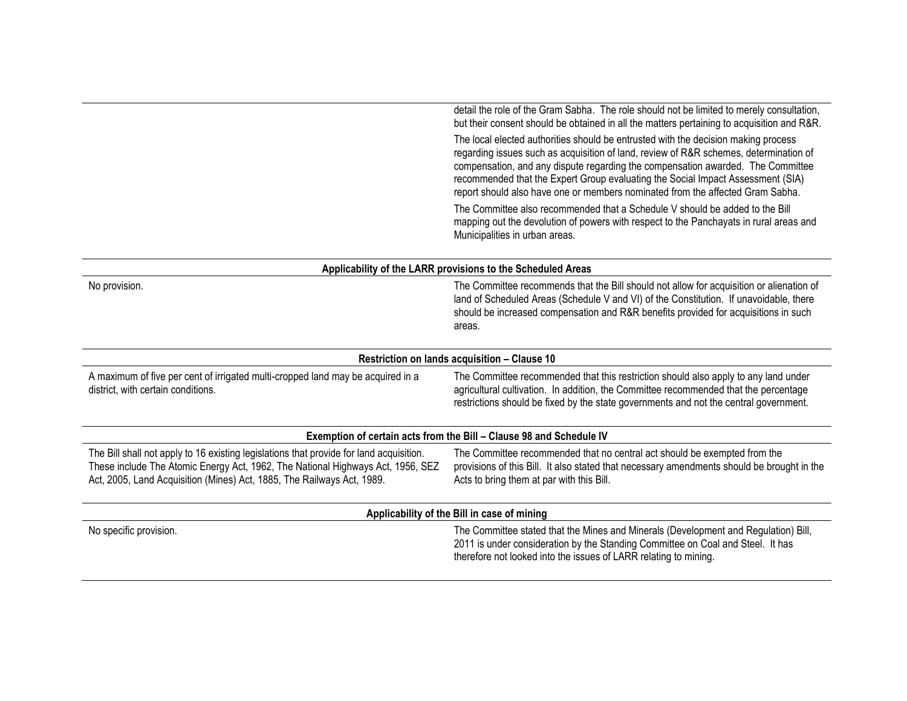|                                                                                                                                                                                                                                                      | detail the role of the Gram Sabha. The role should not be limited to merely consultation,<br>but their consent should be obtained in all the matters pertaining to acquisition and R&R.                                                                                                                                                                                                                                             |
|------------------------------------------------------------------------------------------------------------------------------------------------------------------------------------------------------------------------------------------------------|-------------------------------------------------------------------------------------------------------------------------------------------------------------------------------------------------------------------------------------------------------------------------------------------------------------------------------------------------------------------------------------------------------------------------------------|
|                                                                                                                                                                                                                                                      | The local elected authorities should be entrusted with the decision making process<br>regarding issues such as acquisition of land, review of R&R schemes, determination of<br>compensation, and any dispute regarding the compensation awarded. The Committee<br>recommended that the Expert Group evaluating the Social Impact Assessment (SIA)<br>report should also have one or members nominated from the affected Gram Sabha. |
|                                                                                                                                                                                                                                                      | The Committee also recommended that a Schedule V should be added to the Bill<br>mapping out the devolution of powers with respect to the Panchayats in rural areas and<br>Municipalities in urban areas.                                                                                                                                                                                                                            |
|                                                                                                                                                                                                                                                      | Applicability of the LARR provisions to the Scheduled Areas                                                                                                                                                                                                                                                                                                                                                                         |
| No provision.                                                                                                                                                                                                                                        | The Committee recommends that the Bill should not allow for acquisition or alienation of<br>land of Scheduled Areas (Schedule V and VI) of the Constitution. If unavoidable, there<br>should be increased compensation and R&R benefits provided for acquisitions in such<br>areas.                                                                                                                                                 |
|                                                                                                                                                                                                                                                      | Restriction on lands acquisition - Clause 10                                                                                                                                                                                                                                                                                                                                                                                        |
| A maximum of five per cent of irrigated multi-cropped land may be acquired in a<br>district, with certain conditions.                                                                                                                                | The Committee recommended that this restriction should also apply to any land under<br>agricultural cultivation. In addition, the Committee recommended that the percentage<br>restrictions should be fixed by the state governments and not the central government.                                                                                                                                                                |
|                                                                                                                                                                                                                                                      | Exemption of certain acts from the Bill - Clause 98 and Schedule IV                                                                                                                                                                                                                                                                                                                                                                 |
| The Bill shall not apply to 16 existing legislations that provide for land acquisition.<br>These include The Atomic Energy Act, 1962, The National Highways Act, 1956, SEZ<br>Act, 2005, Land Acquisition (Mines) Act, 1885, The Railways Act, 1989. | The Committee recommended that no central act should be exempted from the<br>provisions of this Bill. It also stated that necessary amendments should be brought in the<br>Acts to bring them at par with this Bill.                                                                                                                                                                                                                |
|                                                                                                                                                                                                                                                      | Applicability of the Bill in case of mining                                                                                                                                                                                                                                                                                                                                                                                         |
| No specific provision.                                                                                                                                                                                                                               | The Committee stated that the Mines and Minerals (Development and Regulation) Bill,<br>2011 is under consideration by the Standing Committee on Coal and Steel. It has<br>therefore not looked into the issues of LARR relating to mining.                                                                                                                                                                                          |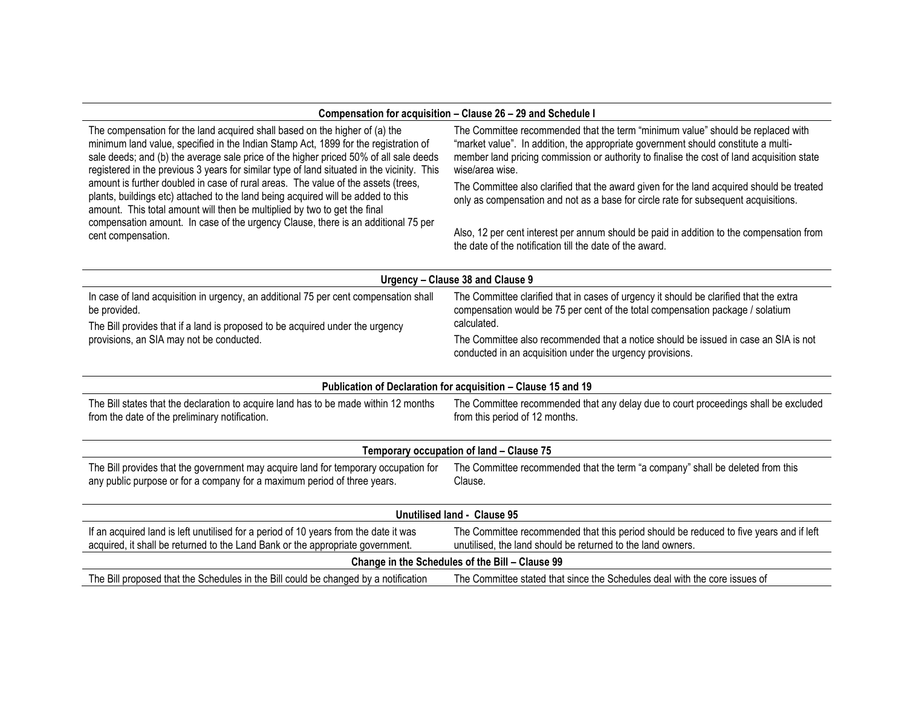## **Compensation for acquisition – Clause 26 – 29 and Schedule I**

| The compensation for the land acquired shall based on the higher of (a) the<br>minimum land value, specified in the Indian Stamp Act, 1899 for the registration of<br>sale deeds; and (b) the average sale price of the higher priced 50% of all sale deeds<br>registered in the previous 3 years for similar type of land situated in the vicinity. This<br>amount is further doubled in case of rural areas. The value of the assets (trees,<br>plants, buildings etc) attached to the land being acquired will be added to this<br>amount. This total amount will then be multiplied by two to get the final<br>compensation amount. In case of the urgency Clause, there is an additional 75 per<br>cent compensation. | The Committee recommended that the term "minimum value" should be replaced with<br>"market value". In addition, the appropriate government should constitute a multi-<br>member land pricing commission or authority to finalise the cost of land acquisition state<br>wise/area wise. |  |
|----------------------------------------------------------------------------------------------------------------------------------------------------------------------------------------------------------------------------------------------------------------------------------------------------------------------------------------------------------------------------------------------------------------------------------------------------------------------------------------------------------------------------------------------------------------------------------------------------------------------------------------------------------------------------------------------------------------------------|----------------------------------------------------------------------------------------------------------------------------------------------------------------------------------------------------------------------------------------------------------------------------------------|--|
|                                                                                                                                                                                                                                                                                                                                                                                                                                                                                                                                                                                                                                                                                                                            | The Committee also clarified that the award given for the land acquired should be treated<br>only as compensation and not as a base for circle rate for subsequent acquisitions.                                                                                                       |  |
|                                                                                                                                                                                                                                                                                                                                                                                                                                                                                                                                                                                                                                                                                                                            | Also, 12 per cent interest per annum should be paid in addition to the compensation from<br>the date of the notification till the date of the award.                                                                                                                                   |  |
| Urgency - Clause 38 and Clause 9                                                                                                                                                                                                                                                                                                                                                                                                                                                                                                                                                                                                                                                                                           |                                                                                                                                                                                                                                                                                        |  |
| In case of land acquisition in urgency, an additional 75 per cent compensation shall<br>be provided.<br>The Bill provides that if a land is proposed to be acquired under the urgency                                                                                                                                                                                                                                                                                                                                                                                                                                                                                                                                      | The Committee clarified that in cases of urgency it should be clarified that the extra<br>compensation would be 75 per cent of the total compensation package / solatium<br>calculated.                                                                                                |  |
| provisions, an SIA may not be conducted.                                                                                                                                                                                                                                                                                                                                                                                                                                                                                                                                                                                                                                                                                   | The Committee also recommended that a notice should be issued in case an SIA is not<br>conducted in an acquisition under the urgency provisions.                                                                                                                                       |  |
|                                                                                                                                                                                                                                                                                                                                                                                                                                                                                                                                                                                                                                                                                                                            | Publication of Declaration for acquisition - Clause 15 and 19                                                                                                                                                                                                                          |  |
| The Bill states that the declaration to acquire land has to be made within 12 months<br>from the date of the preliminary notification.                                                                                                                                                                                                                                                                                                                                                                                                                                                                                                                                                                                     | The Committee recommended that any delay due to court proceedings shall be excluded<br>from this period of 12 months.                                                                                                                                                                  |  |
| Temporary occupation of land - Clause 75                                                                                                                                                                                                                                                                                                                                                                                                                                                                                                                                                                                                                                                                                   |                                                                                                                                                                                                                                                                                        |  |
| The Bill provides that the government may acquire land for temporary occupation for<br>any public purpose or for a company for a maximum period of three years.                                                                                                                                                                                                                                                                                                                                                                                                                                                                                                                                                            | The Committee recommended that the term "a company" shall be deleted from this<br>Clause.                                                                                                                                                                                              |  |
| Unutilised land - Clause 95                                                                                                                                                                                                                                                                                                                                                                                                                                                                                                                                                                                                                                                                                                |                                                                                                                                                                                                                                                                                        |  |
| If an acquired land is left unutilised for a period of 10 years from the date it was<br>acquired, it shall be returned to the Land Bank or the appropriate government.                                                                                                                                                                                                                                                                                                                                                                                                                                                                                                                                                     | The Committee recommended that this period should be reduced to five years and if left<br>unutilised, the land should be returned to the land owners.                                                                                                                                  |  |
| Change in the Schedules of the Bill - Clause 99                                                                                                                                                                                                                                                                                                                                                                                                                                                                                                                                                                                                                                                                            |                                                                                                                                                                                                                                                                                        |  |
| The Bill proposed that the Schedules in the Bill could be changed by a notification                                                                                                                                                                                                                                                                                                                                                                                                                                                                                                                                                                                                                                        | The Committee stated that since the Schedules deal with the core issues of                                                                                                                                                                                                             |  |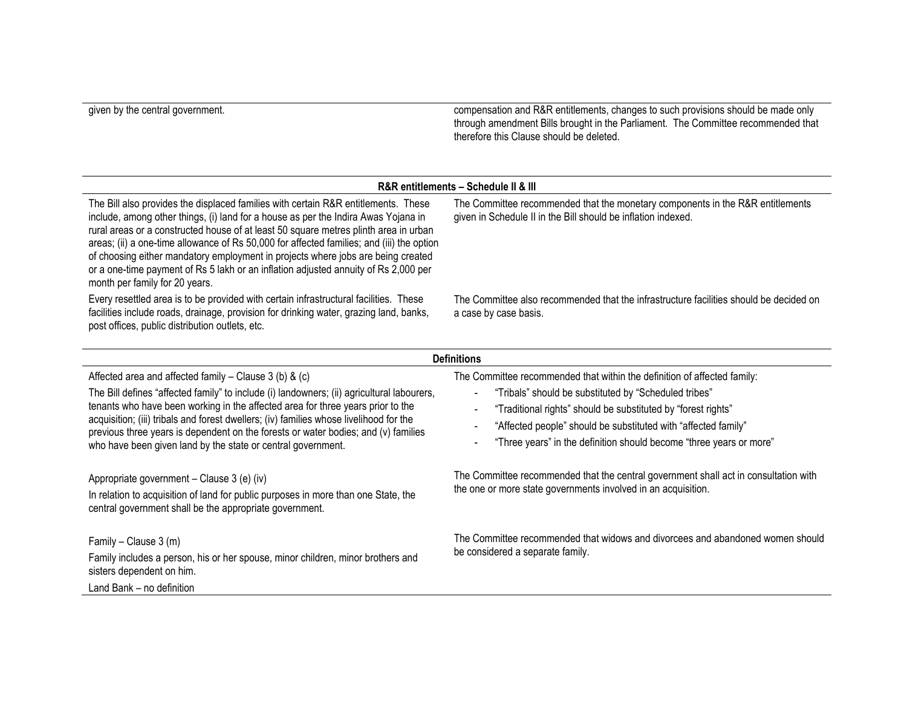given by the central government. compensation and R&R entitlements, changes to such provisions should be made only through amendment Bills brought in the Parliament. The Committee recommended that therefore this Clause should be deleted.

## **R&R entitlements – Schedule II & III**

The Bill also provides the displaced families with certain R&R entitlements. These include, among other things, (i) land for a house as per the Indira Awas Yojana in rural areas or a constructed house of at least 50 square metres plinth area in urban areas; (ii) a one-time allowance of Rs 50,000 for affected families; and (iii) the option of choosing either mandatory employment in projects where jobs are being created or a one-time payment of Rs 5 lakh or an inflation adjusted annuity of Rs 2,000 per month per family for 20 years.

Every resettled area is to be provided with certain infrastructural facilities. These facilities include roads, drainage, provision for drinking water, grazing land, banks, post offices, public distribution outlets, etc.

The Committee recommended that the monetary components in the R&R entitlements given in Schedule II in the Bill should be inflation indexed.

The Committee also recommended that the infrastructure facilities should be decided on a case by case basis.

| <b>Definitions</b>                                                                                                                                                                                                                                                                                                                                                                                                                                                                        |                                                                                                                                                                                                                                                                                                                                                                                 |  |
|-------------------------------------------------------------------------------------------------------------------------------------------------------------------------------------------------------------------------------------------------------------------------------------------------------------------------------------------------------------------------------------------------------------------------------------------------------------------------------------------|---------------------------------------------------------------------------------------------------------------------------------------------------------------------------------------------------------------------------------------------------------------------------------------------------------------------------------------------------------------------------------|--|
| Affected area and affected family $-$ Clause 3 (b) & (c)<br>The Bill defines "affected family" to include (i) landowners; (ii) agricultural labourers,<br>tenants who have been working in the affected area for three years prior to the<br>acquisition; (iii) tribals and forest dwellers; (iv) families whose livelihood for the<br>previous three years is dependent on the forests or water bodies; and (v) families<br>who have been given land by the state or central government. | The Committee recommended that within the definition of affected family:<br>"Tribals" should be substituted by "Scheduled tribes"<br>"Traditional rights" should be substituted by "forest rights"<br>$\blacksquare$<br>"Affected people" should be substituted with "affected family"<br>"Three years" in the definition should become "three years or more"<br>$\blacksquare$ |  |
| Appropriate government – Clause 3 (e) (iv)<br>In relation to acquisition of land for public purposes in more than one State, the<br>central government shall be the appropriate government.                                                                                                                                                                                                                                                                                               | The Committee recommended that the central government shall act in consultation with<br>the one or more state governments involved in an acquisition.                                                                                                                                                                                                                           |  |
| Family – Clause $3(m)$<br>Family includes a person, his or her spouse, minor children, minor brothers and<br>sisters dependent on him.<br>Land Bank - no definition                                                                                                                                                                                                                                                                                                                       | The Committee recommended that widows and divorcees and abandoned women should<br>be considered a separate family.                                                                                                                                                                                                                                                              |  |